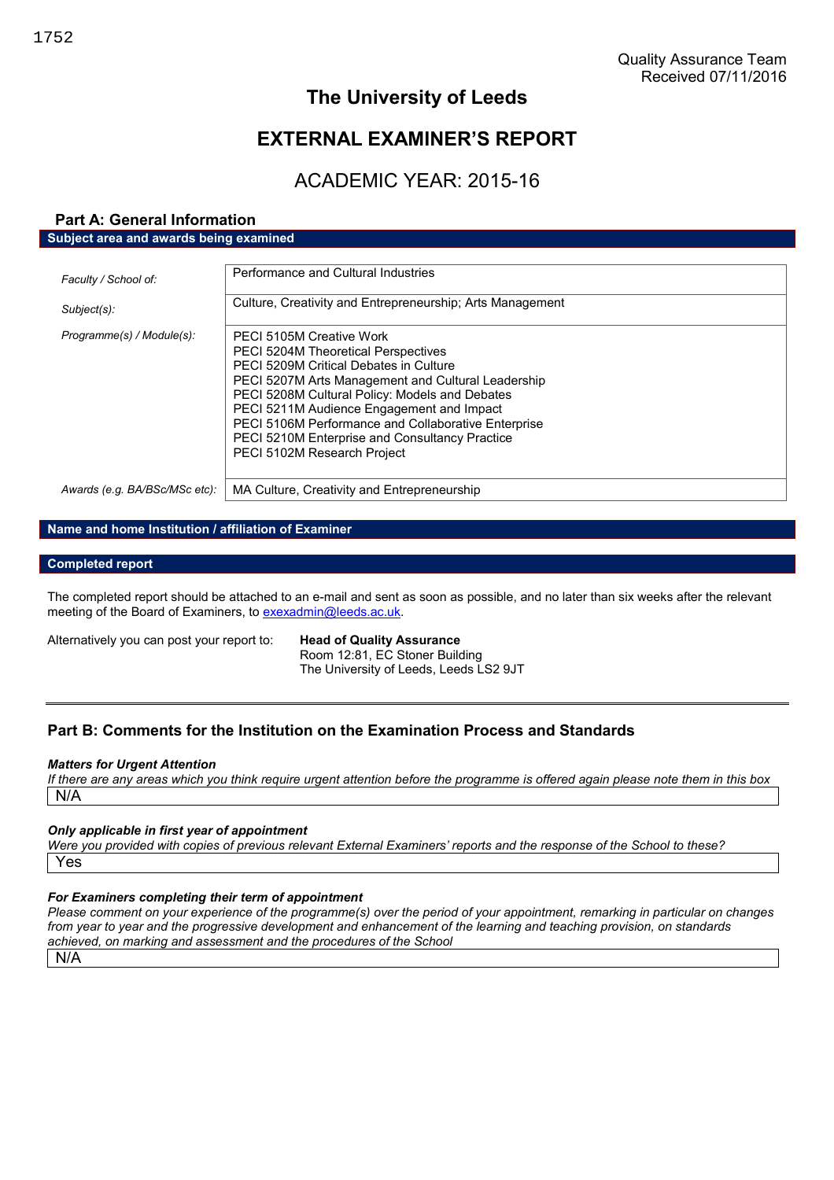# **The University of Leeds**

# **EXTERNAL EXAMINER'S REPORT**

# ACADEMIC YEAR: 2015-16

#### **Part A: General Information Subject area and awards being examined**

| Faculty / School of:          | Performance and Cultural Industries                                                                                                                                                                                                                                                                                                                                                                                         |
|-------------------------------|-----------------------------------------------------------------------------------------------------------------------------------------------------------------------------------------------------------------------------------------------------------------------------------------------------------------------------------------------------------------------------------------------------------------------------|
| Subject(s):                   | Culture, Creativity and Entrepreneurship; Arts Management                                                                                                                                                                                                                                                                                                                                                                   |
| Programme(s) / Module(s):     | PECI 5105M Creative Work<br><b>PECI 5204M Theoretical Perspectives</b><br><b>PECI 5209M Critical Debates in Culture</b><br>PECI 5207M Arts Management and Cultural Leadership<br>PECI 5208M Cultural Policy: Models and Debates<br>PECI 5211M Audience Engagement and Impact<br>PECI 5106M Performance and Collaborative Enterprise<br><b>PECI 5210M Enterprise and Consultancy Practice</b><br>PECI 5102M Research Project |
| Awards (e.g. BA/BSc/MSc etc): | MA Culture, Creativity and Entrepreneurship                                                                                                                                                                                                                                                                                                                                                                                 |

#### **Name and home Institution / affiliation of Examiner**

#### **Completed report**

The completed report should be attached to an e-mail and sent as soon as possible, and no later than six weeks after the relevant meeting of the Board of Examiners, to exexadmin@leeds.ac.uk.

Alternatively you can post your report to: **Head of Quality Assurance**

Room 12:81, EC Stoner Building The University of Leeds, Leeds LS2 9JT

# **Part B: Comments for the Institution on the Examination Process and Standards**

#### *Matters for Urgent Attention*

*If there are any areas which you think require urgent attention before the programme is offered again please note them in this box* N/A

#### *Only applicable in first year of appointment*

*Were you provided with copies of previous relevant External Examiners' reports and the response of the School to these?* Yes

#### *For Examiners completing their term of appointment*

*Please comment on your experience of the programme(s) over the period of your appointment, remarking in particular on changes from year to year and the progressive development and enhancement of the learning and teaching provision, on standards achieved, on marking and assessment and the procedures of the School*

N/A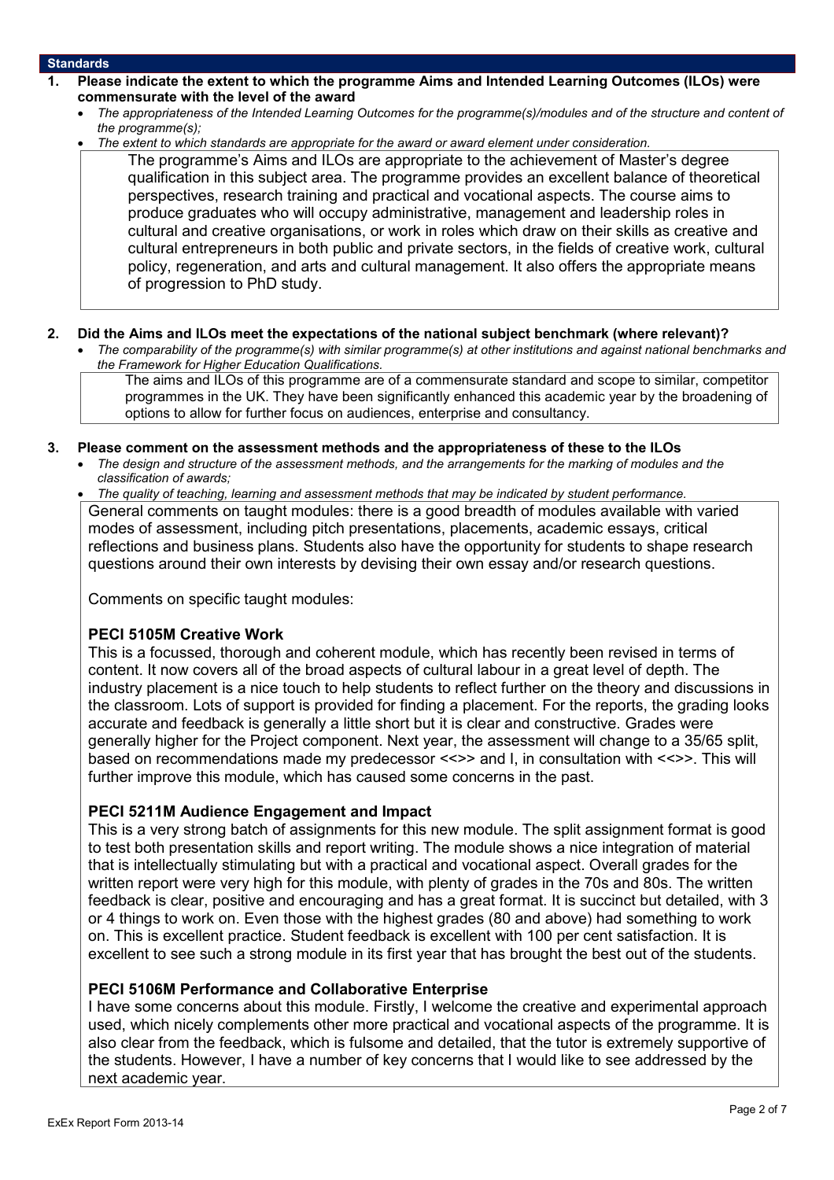#### **Standards**

- **1. Please indicate the extent to which the programme Aims and Intended Learning Outcomes (ILOs) were commensurate with the level of the award**
	- *The appropriateness of the Intended Learning Outcomes for the programme(s)/modules and of the structure and content of the programme(s);*
	- *The extent to which standards are appropriate for the award or award element under consideration.*
		- The programme's Aims and ILOs are appropriate to the achievement of Master's degree qualification in this subject area. The programme provides an excellent balance of theoretical perspectives, research training and practical and vocational aspects. The course aims to produce graduates who will occupy administrative, management and leadership roles in cultural and creative organisations, or work in roles which draw on their skills as creative and cultural entrepreneurs in both public and private sectors, in the fields of creative work, cultural policy, regeneration, and arts and cultural management. It also offers the appropriate means of progression to PhD study.

#### **2. Did the Aims and ILOs meet the expectations of the national subject benchmark (where relevant)?**

 *The comparability of the programme(s) with similar programme(s) at other institutions and against national benchmarks and the Framework for Higher Education Qualifications.*

The aims and ILOs of this programme are of a commensurate standard and scope to similar, competitor programmes in the UK. They have been significantly enhanced this academic year by the broadening of options to allow for further focus on audiences, enterprise and consultancy.

#### **3. Please comment on the assessment methods and the appropriateness of these to the ILOs**

 *The design and structure of the assessment methods, and the arrangements for the marking of modules and the classification of awards;*

 *The quality of teaching, learning and assessment methods that may be indicated by student performance.* General comments on taught modules: there is a good breadth of modules available with varied modes of assessment, including pitch presentations, placements, academic essays, critical reflections and business plans. Students also have the opportunity for students to shape research questions around their own interests by devising their own essay and/or research questions.

Comments on specific taught modules:

## **PECI 5105M Creative Work**

This is a focussed, thorough and coherent module, which has recently been revised in terms of content. It now covers all of the broad aspects of cultural labour in a great level of depth. The industry placement is a nice touch to help students to reflect further on the theory and discussions in the classroom. Lots of support is provided for finding a placement. For the reports, the grading looks accurate and feedback is generally a little short but it is clear and constructive. Grades were generally higher for the Project component. Next year, the assessment will change to a 35/65 split, based on recommendations made my predecessor <<>> and I, in consultation with <<>>. This will further improve this module, which has caused some concerns in the past.

## **PECI 5211M Audience Engagement and Impact**

This is a very strong batch of assignments for this new module. The split assignment format is good to test both presentation skills and report writing. The module shows a nice integration of material that is intellectually stimulating but with a practical and vocational aspect. Overall grades for the written report were very high for this module, with plenty of grades in the 70s and 80s. The written feedback is clear, positive and encouraging and has a great format. It is succinct but detailed, with 3 or 4 things to work on. Even those with the highest grades (80 and above) had something to work on. This is excellent practice. Student feedback is excellent with 100 per cent satisfaction. It is excellent to see such a strong module in its first year that has brought the best out of the students.

## **PECI 5106M Performance and Collaborative Enterprise**

I have some concerns about this module. Firstly, I welcome the creative and experimental approach used, which nicely complements other more practical and vocational aspects of the programme. It is also clear from the feedback, which is fulsome and detailed, that the tutor is extremely supportive of the students. However, I have a number of key concerns that I would like to see addressed by the next academic year.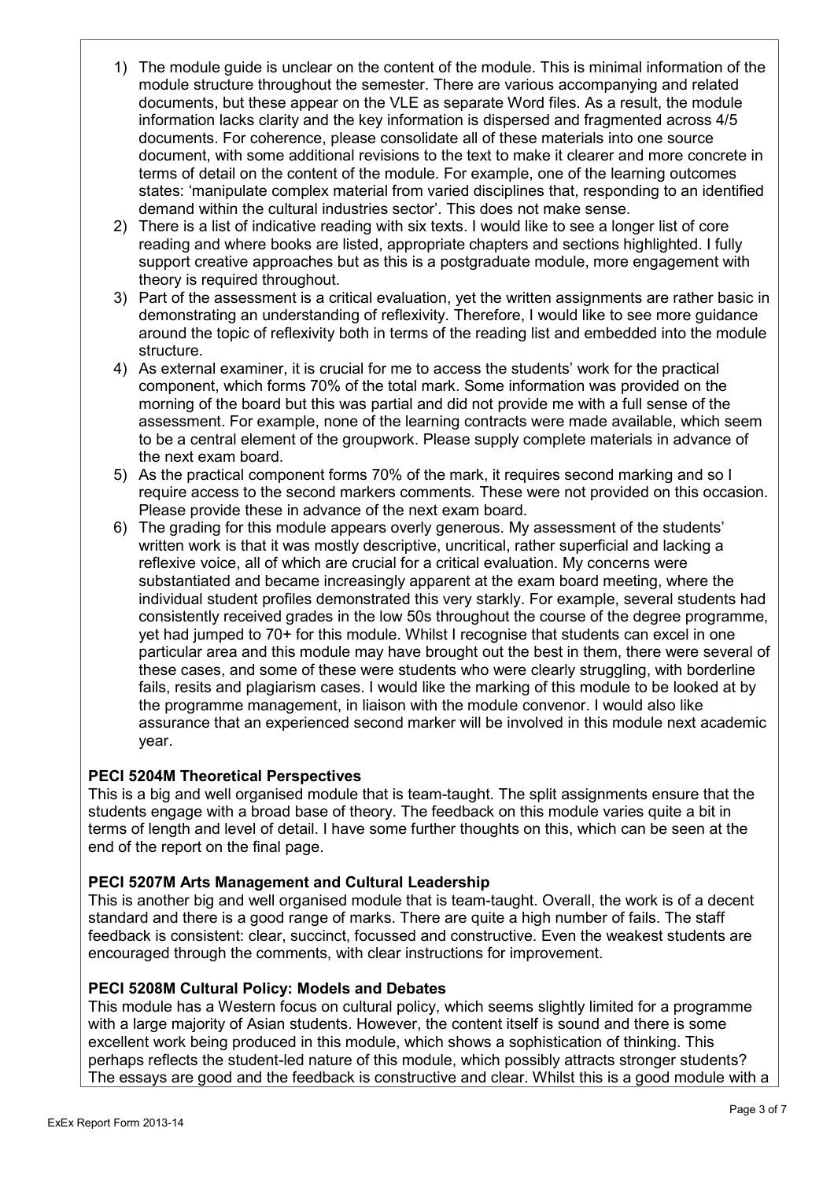- 1) The module guide is unclear on the content of the module. This is minimal information of the module structure throughout the semester. There are various accompanying and related documents, but these appear on the VLE as separate Word files. As a result, the module information lacks clarity and the key information is dispersed and fragmented across 4/5 documents. For coherence, please consolidate all of these materials into one source document, with some additional revisions to the text to make it clearer and more concrete in terms of detail on the content of the module. For example, one of the learning outcomes states: 'manipulate complex material from varied disciplines that, responding to an identified demand within the cultural industries sector'. This does not make sense.
- 2) There is a list of indicative reading with six texts. I would like to see a longer list of core reading and where books are listed, appropriate chapters and sections highlighted. I fully support creative approaches but as this is a postgraduate module, more engagement with theory is required throughout.
- 3) Part of the assessment is a critical evaluation, yet the written assignments are rather basic in demonstrating an understanding of reflexivity. Therefore, I would like to see more guidance around the topic of reflexivity both in terms of the reading list and embedded into the module structure.
- 4) As external examiner, it is crucial for me to access the students' work for the practical component, which forms 70% of the total mark. Some information was provided on the morning of the board but this was partial and did not provide me with a full sense of the assessment. For example, none of the learning contracts were made available, which seem to be a central element of the groupwork. Please supply complete materials in advance of the next exam board.
- 5) As the practical component forms 70% of the mark, it requires second marking and so I require access to the second markers comments. These were not provided on this occasion. Please provide these in advance of the next exam board.
- 6) The grading for this module appears overly generous. My assessment of the students' written work is that it was mostly descriptive, uncritical, rather superficial and lacking a reflexive voice, all of which are crucial for a critical evaluation. My concerns were substantiated and became increasingly apparent at the exam board meeting, where the individual student profiles demonstrated this very starkly. For example, several students had consistently received grades in the low 50s throughout the course of the degree programme, yet had jumped to 70+ for this module. Whilst I recognise that students can excel in one particular area and this module may have brought out the best in them, there were several of these cases, and some of these were students who were clearly struggling, with borderline fails, resits and plagiarism cases. I would like the marking of this module to be looked at by the programme management, in liaison with the module convenor. I would also like assurance that an experienced second marker will be involved in this module next academic year.

# **PECI 5204M Theoretical Perspectives**

This is a big and well organised module that is team-taught. The split assignments ensure that the students engage with a broad base of theory. The feedback on this module varies quite a bit in terms of length and level of detail. I have some further thoughts on this, which can be seen at the end of the report on the final page.

# **PECI 5207M Arts Management and Cultural Leadership**

This is another big and well organised module that is team-taught. Overall, the work is of a decent standard and there is a good range of marks. There are quite a high number of fails. The staff feedback is consistent: clear, succinct, focussed and constructive. Even the weakest students are encouraged through the comments, with clear instructions for improvement.

# **PECI 5208M Cultural Policy: Models and Debates**

This module has a Western focus on cultural policy, which seems slightly limited for a programme with a large majority of Asian students. However, the content itself is sound and there is some excellent work being produced in this module, which shows a sophistication of thinking. This perhaps reflects the student-led nature of this module, which possibly attracts stronger students? The essays are good and the feedback is constructive and clear. Whilst this is a good module with a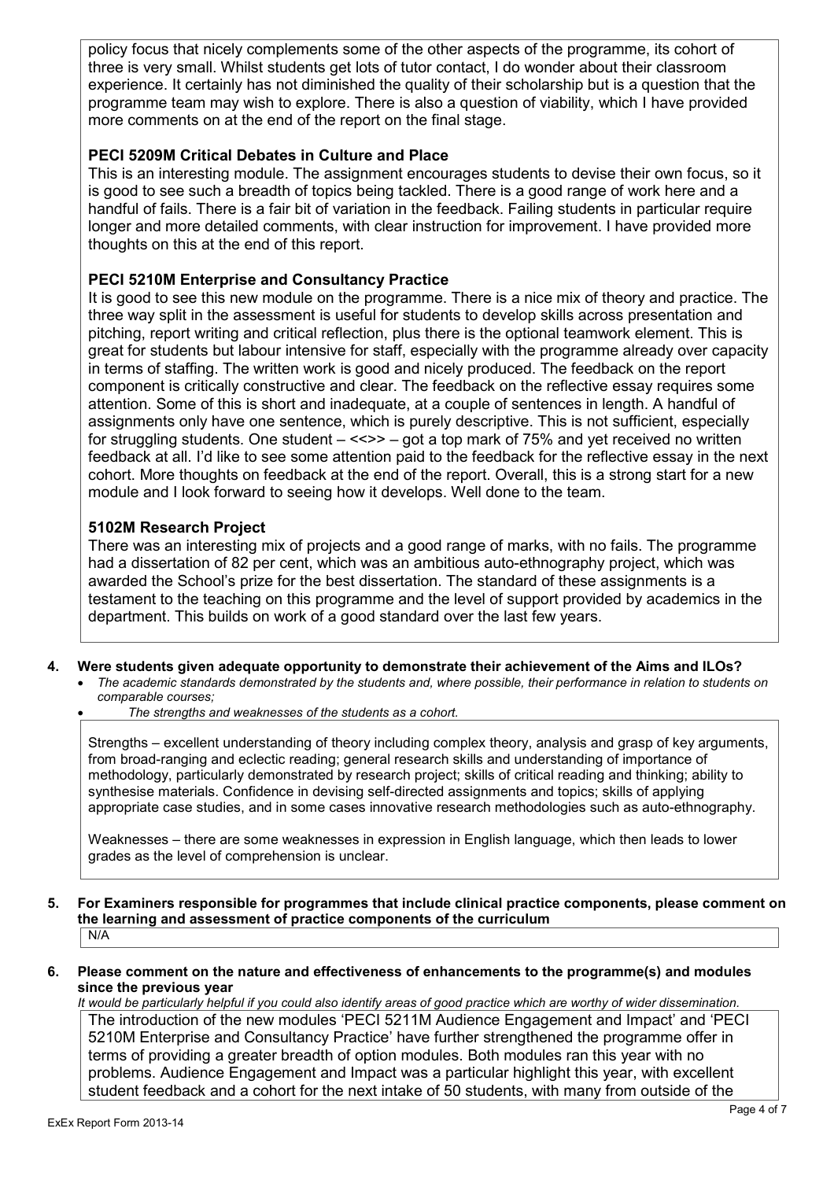policy focus that nicely complements some of the other aspects of the programme, its cohort of three is very small. Whilst students get lots of tutor contact, I do wonder about their classroom experience. It certainly has not diminished the quality of their scholarship but is a question that the programme team may wish to explore. There is also a question of viability, which I have provided more comments on at the end of the report on the final stage.

# **PECI 5209M Critical Debates in Culture and Place**

This is an interesting module. The assignment encourages students to devise their own focus, so it is good to see such a breadth of topics being tackled. There is a good range of work here and a handful of fails. There is a fair bit of variation in the feedback. Failing students in particular require longer and more detailed comments, with clear instruction for improvement. I have provided more thoughts on this at the end of this report.

# **PECI 5210M Enterprise and Consultancy Practice**

It is good to see this new module on the programme. There is a nice mix of theory and practice. The three way split in the assessment is useful for students to develop skills across presentation and pitching, report writing and critical reflection, plus there is the optional teamwork element. This is great for students but labour intensive for staff, especially with the programme already over capacity in terms of staffing. The written work is good and nicely produced. The feedback on the report component is critically constructive and clear. The feedback on the reflective essay requires some attention. Some of this is short and inadequate, at a couple of sentences in length. A handful of assignments only have one sentence, which is purely descriptive. This is not sufficient, especially for struggling students. One student  $- \ll \gg -$  got a top mark of 75% and yet received no written feedback at all. I'd like to see some attention paid to the feedback for the reflective essay in the next cohort. More thoughts on feedback at the end of the report. Overall, this is a strong start for a new module and I look forward to seeing how it develops. Well done to the team.

# **5102M Research Project**

There was an interesting mix of projects and a good range of marks, with no fails. The programme had a dissertation of 82 per cent, which was an ambitious auto-ethnography project, which was awarded the School's prize for the best dissertation. The standard of these assignments is a testament to the teaching on this programme and the level of support provided by academics in the department. This builds on work of a good standard over the last few years.

- **4. Were students given adequate opportunity to demonstrate their achievement of the Aims and ILOs?** *The academic standards demonstrated by the students and, where possible, their performance in relation to students on*
	- *comparable courses;*
	- *The strengths and weaknesses of the students as a cohort.*

Strengths – excellent understanding of theory including complex theory, analysis and grasp of key arguments, from broad-ranging and eclectic reading; general research skills and understanding of importance of methodology, particularly demonstrated by research project; skills of critical reading and thinking; ability to synthesise materials. Confidence in devising self-directed assignments and topics; skills of applying appropriate case studies, and in some cases innovative research methodologies such as auto-ethnography.

Weaknesses – there are some weaknesses in expression in English language, which then leads to lower grades as the level of comprehension is unclear.

- **5. For Examiners responsible for programmes that include clinical practice components, please comment on the learning and assessment of practice components of the curriculum** N/A
- **6. Please comment on the nature and effectiveness of enhancements to the programme(s) and modules since the previous year**

*It would be particularly helpful if you could also identify areas of good practice which are worthy of wider dissemination.* The introduction of the new modules 'PECI 5211M Audience Engagement and Impact' and 'PECI 5210M Enterprise and Consultancy Practice' have further strengthened the programme offer in terms of providing a greater breadth of option modules. Both modules ran this year with no problems. Audience Engagement and Impact was a particular highlight this year, with excellent student feedback and a cohort for the next intake of 50 students, with many from outside of the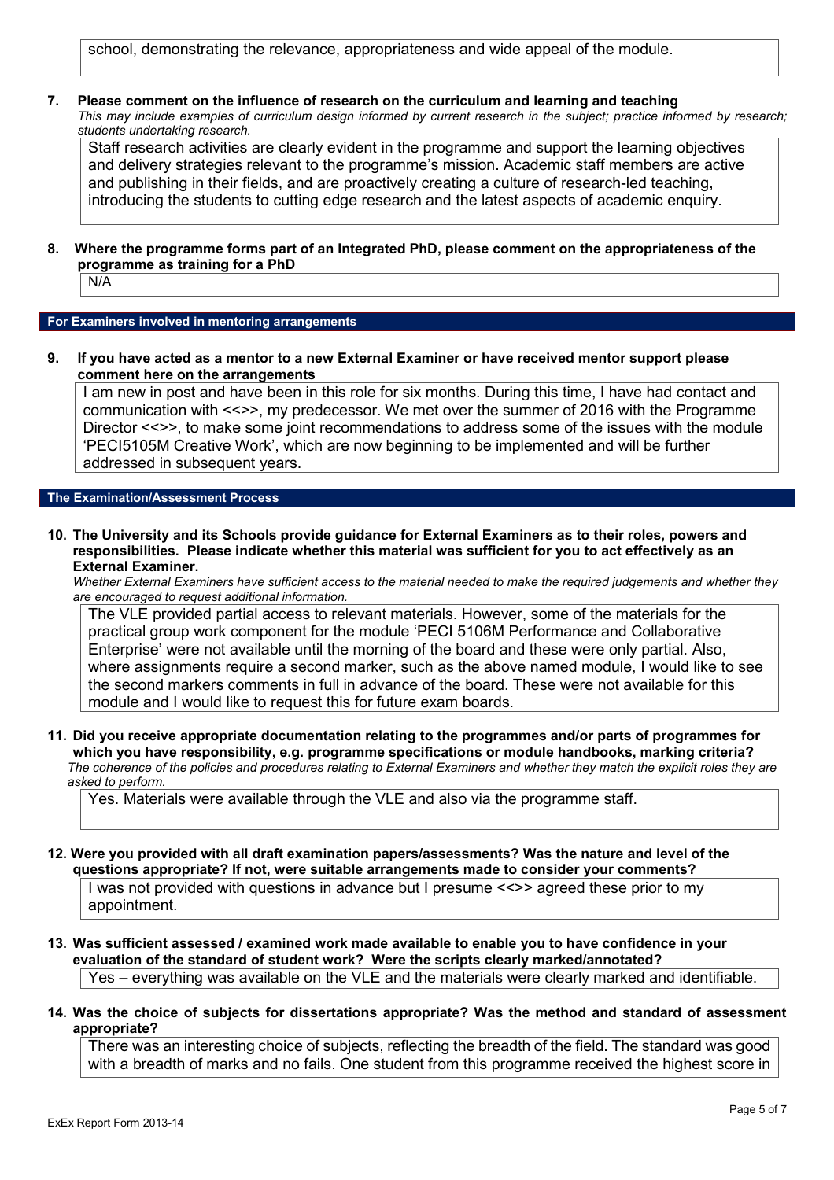school, demonstrating the relevance, appropriateness and wide appeal of the module.

**7. Please comment on the influence of research on the curriculum and learning and teaching** *This may include examples of curriculum design informed by current research in the subject; practice informed by research; students undertaking research.*

Staff research activities are clearly evident in the programme and support the learning objectives and delivery strategies relevant to the programme's mission. Academic staff members are active and publishing in their fields, and are proactively creating a culture of research-led teaching, introducing the students to cutting edge research and the latest aspects of academic enquiry.

**8. Where the programme forms part of an Integrated PhD, please comment on the appropriateness of the programme as training for a PhD**

N/A

#### **For Examiners involved in mentoring arrangements**

**9. If you have acted as a mentor to a new External Examiner or have received mentor support please comment here on the arrangements**

I am new in post and have been in this role for six months. During this time, I have had contact and communication with <<>>, my predecessor. We met over the summer of 2016 with the Programme Director <<>>, to make some joint recommendations to address some of the issues with the module 'PECI5105M Creative Work', which are now beginning to be implemented and will be further addressed in subsequent years.

#### **The Examination/Assessment Process**

**10. The University and its Schools provide guidance for External Examiners as to their roles, powers and responsibilities. Please indicate whether this material was sufficient for you to act effectively as an External Examiner.**

*Whether External Examiners have sufficient access to the material needed to make the required judgements and whether they are encouraged to request additional information.*

The VLE provided partial access to relevant materials. However, some of the materials for the practical group work component for the module 'PECI 5106M Performance and Collaborative Enterprise' were not available until the morning of the board and these were only partial. Also, where assignments require a second marker, such as the above named module, I would like to see the second markers comments in full in advance of the board. These were not available for this module and I would like to request this for future exam boards.

**11. Did you receive appropriate documentation relating to the programmes and/or parts of programmes for which you have responsibility, e.g. programme specifications or module handbooks, marking criteria?** *The coherence of the policies and procedures relating to External Examiners and whether they match the explicit roles they are asked to perform.*

Yes. Materials were available through the VLE and also via the programme staff.

**12. Were you provided with all draft examination papers/assessments? Was the nature and level of the questions appropriate? If not, were suitable arrangements made to consider your comments?**

I was not provided with questions in advance but I presume <<>> agreed these prior to my appointment.

**13. Was sufficient assessed / examined work made available to enable you to have confidence in your evaluation of the standard of student work? Were the scripts clearly marked/annotated?**

Yes – everything was available on the VLE and the materials were clearly marked and identifiable.

**14. Was the choice of subjects for dissertations appropriate? Was the method and standard of assessment appropriate?**

There was an interesting choice of subjects, reflecting the breadth of the field. The standard was good with a breadth of marks and no fails. One student from this programme received the highest score in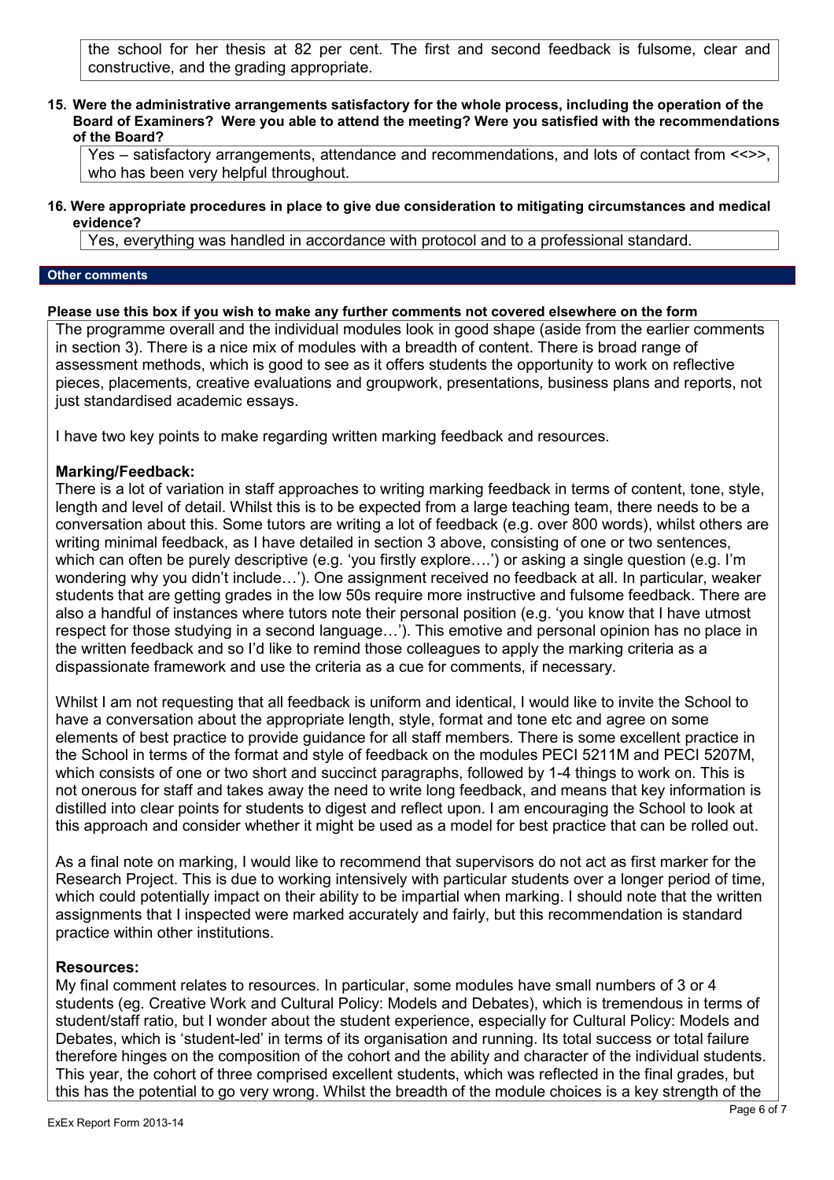the school for her thesis at 82 per cent. The first and second feedback is fulsome, clear and constructive, and the grading appropriate.

**15. Were the administrative arrangements satisfactory for the whole process, including the operation of the Board of Examiners? Were you able to attend the meeting? Were you satisfied with the recommendations of the Board?**

Yes – satisfactory arrangements, attendance and recommendations, and lots of contact from <<>>, who has been very helpful throughout.

**16. Were appropriate procedures in place to give due consideration to mitigating circumstances and medical evidence?**

Yes, everything was handled in accordance with protocol and to a professional standard.

#### **Other comments**

#### **Please use this box if you wish to make any further comments not covered elsewhere on the form**

The programme overall and the individual modules look in good shape (aside from the earlier comments in section 3). There is a nice mix of modules with a breadth of content. There is broad range of assessment methods, which is good to see as it offers students the opportunity to work on reflective pieces, placements, creative evaluations and groupwork, presentations, business plans and reports, not just standardised academic essays.

I have two key points to make regarding written marking feedback and resources.

## **Marking/Feedback:**

There is a lot of variation in staff approaches to writing marking feedback in terms of content, tone, style, length and level of detail. Whilst this is to be expected from a large teaching team, there needs to be a conversation about this. Some tutors are writing a lot of feedback (e.g. over 800 words), whilst others are writing minimal feedback, as I have detailed in section 3 above, consisting of one or two sentences, which can often be purely descriptive (e.g. 'you firstly explore...') or asking a single question (e.g. I'm wondering why you didn't include…'). One assignment received no feedback at all. In particular, weaker students that are getting grades in the low 50s require more instructive and fulsome feedback. There are also a handful of instances where tutors note their personal position (e.g. 'you know that I have utmost respect for those studying in a second language…'). This emotive and personal opinion has no place in the written feedback and so I'd like to remind those colleagues to apply the marking criteria as a dispassionate framework and use the criteria as a cue for comments, if necessary.

Whilst I am not requesting that all feedback is uniform and identical, I would like to invite the School to have a conversation about the appropriate length, style, format and tone etc and agree on some elements of best practice to provide guidance for all staff members. There is some excellent practice in the School in terms of the format and style of feedback on the modules PECI 5211M and PECI 5207M, which consists of one or two short and succinct paragraphs, followed by 1-4 things to work on. This is not onerous for staff and takes away the need to write long feedback, and means that key information is distilled into clear points for students to digest and reflect upon. I am encouraging the School to look at this approach and consider whether it might be used as a model for best practice that can be rolled out.

As a final note on marking, I would like to recommend that supervisors do not act as first marker for the Research Project. This is due to working intensively with particular students over a longer period of time, which could potentially impact on their ability to be impartial when marking. I should note that the written assignments that I inspected were marked accurately and fairly, but this recommendation is standard practice within other institutions.

## **Resources:**

My final comment relates to resources. In particular, some modules have small numbers of 3 or 4 students (eg. Creative Work and Cultural Policy: Models and Debates), which is tremendous in terms of student/staff ratio, but I wonder about the student experience, especially for Cultural Policy: Models and Debates, which is 'student-led' in terms of its organisation and running. Its total success or total failure therefore hinges on the composition of the cohort and the ability and character of the individual students. This year, the cohort of three comprised excellent students, which was reflected in the final grades, but this has the potential to go very wrong. Whilst the breadth of the module choices is a key strength of the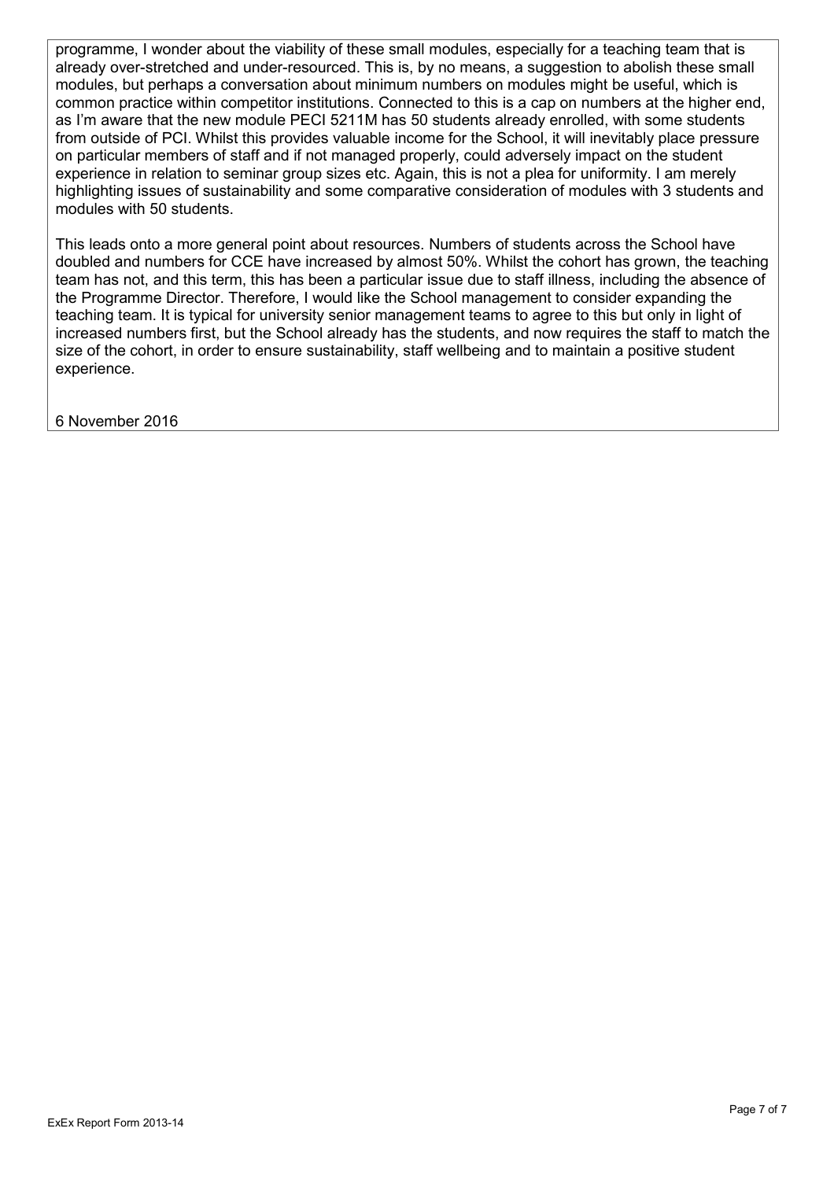programme, I wonder about the viability of these small modules, especially for a teaching team that is already over-stretched and under-resourced. This is, by no means, a suggestion to abolish these small modules, but perhaps a conversation about minimum numbers on modules might be useful, which is common practice within competitor institutions. Connected to this is a cap on numbers at the higher end, as I'm aware that the new module PECI 5211M has 50 students already enrolled, with some students from outside of PCI. Whilst this provides valuable income for the School, it will inevitably place pressure on particular members of staff and if not managed properly, could adversely impact on the student experience in relation to seminar group sizes etc. Again, this is not a plea for uniformity. I am merely highlighting issues of sustainability and some comparative consideration of modules with 3 students and modules with 50 students.

This leads onto a more general point about resources. Numbers of students across the School have doubled and numbers for CCE have increased by almost 50%. Whilst the cohort has grown, the teaching team has not, and this term, this has been a particular issue due to staff illness, including the absence of the Programme Director. Therefore, I would like the School management to consider expanding the teaching team. It is typical for university senior management teams to agree to this but only in light of increased numbers first, but the School already has the students, and now requires the staff to match the size of the cohort, in order to ensure sustainability, staff wellbeing and to maintain a positive student experience.

6 November 2016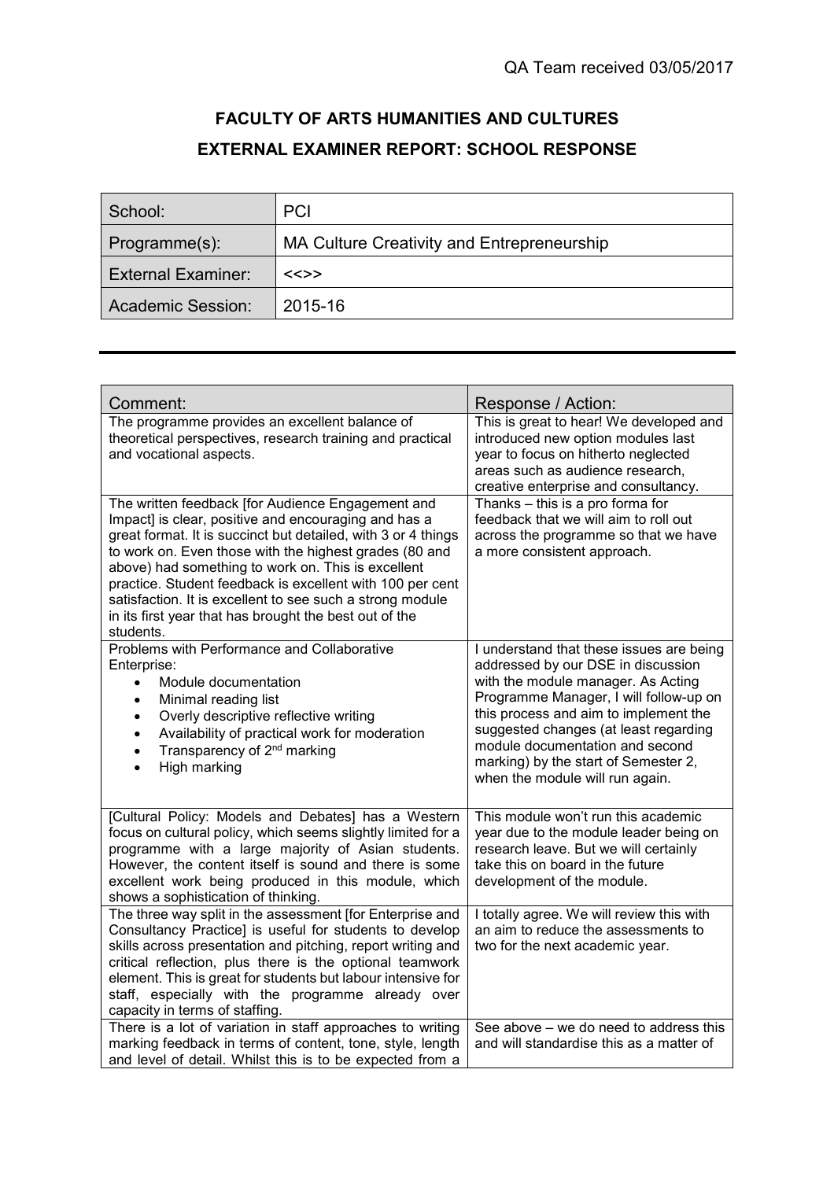# **FACULTY OF ARTS HUMANITIES AND CULTURES EXTERNAL EXAMINER REPORT: SCHOOL RESPONSE**

| School:                   | <b>PCI</b>                                 |
|---------------------------|--------------------------------------------|
| Programme(s):             | MA Culture Creativity and Entrepreneurship |
| <b>External Examiner:</b> | <<>>                                       |
| <b>Academic Session:</b>  | 2015-16                                    |

| Comment:                                                                                                                                                                                                                                                                                                                                                                                                                                                                                    | Response / Action:                                                                                                                                                                                                                                                                                                                                             |
|---------------------------------------------------------------------------------------------------------------------------------------------------------------------------------------------------------------------------------------------------------------------------------------------------------------------------------------------------------------------------------------------------------------------------------------------------------------------------------------------|----------------------------------------------------------------------------------------------------------------------------------------------------------------------------------------------------------------------------------------------------------------------------------------------------------------------------------------------------------------|
| The programme provides an excellent balance of<br>theoretical perspectives, research training and practical<br>and vocational aspects.                                                                                                                                                                                                                                                                                                                                                      | This is great to hear! We developed and<br>introduced new option modules last<br>year to focus on hitherto neglected<br>areas such as audience research,<br>creative enterprise and consultancy.                                                                                                                                                               |
| The written feedback [for Audience Engagement and<br>Impact] is clear, positive and encouraging and has a<br>great format. It is succinct but detailed, with 3 or 4 things<br>to work on. Even those with the highest grades (80 and<br>above) had something to work on. This is excellent<br>practice. Student feedback is excellent with 100 per cent<br>satisfaction. It is excellent to see such a strong module<br>in its first year that has brought the best out of the<br>students. | Thanks - this is a pro forma for<br>feedback that we will aim to roll out<br>across the programme so that we have<br>a more consistent approach.                                                                                                                                                                                                               |
| Problems with Performance and Collaborative<br>Enterprise:<br>Module documentation<br>$\bullet$<br>Minimal reading list<br>$\bullet$<br>Overly descriptive reflective writing<br>$\bullet$<br>Availability of practical work for moderation<br>$\bullet$<br>Transparency of 2 <sup>nd</sup> marking<br>$\bullet$<br>High marking                                                                                                                                                            | I understand that these issues are being<br>addressed by our DSE in discussion<br>with the module manager. As Acting<br>Programme Manager, I will follow-up on<br>this process and aim to implement the<br>suggested changes (at least regarding<br>module documentation and second<br>marking) by the start of Semester 2,<br>when the module will run again. |
| [Cultural Policy: Models and Debates] has a Western<br>focus on cultural policy, which seems slightly limited for a<br>programme with a large majority of Asian students.<br>However, the content itself is sound and there is some<br>excellent work being produced in this module, which<br>shows a sophistication of thinking.                                                                                                                                                           | This module won't run this academic<br>year due to the module leader being on<br>research leave. But we will certainly<br>take this on board in the future<br>development of the module.                                                                                                                                                                       |
| The three way split in the assessment [for Enterprise and<br>Consultancy Practice] is useful for students to develop<br>skills across presentation and pitching, report writing and<br>critical reflection, plus there is the optional teamwork<br>element. This is great for students but labour intensive for<br>staff, especially with the programme already over<br>capacity in terms of staffing.                                                                                      | I totally agree. We will review this with<br>an aim to reduce the assessments to<br>two for the next academic year.                                                                                                                                                                                                                                            |
| There is a lot of variation in staff approaches to writing<br>marking feedback in terms of content, tone, style, length<br>and level of detail. Whilst this is to be expected from a                                                                                                                                                                                                                                                                                                        | See above - we do need to address this<br>and will standardise this as a matter of                                                                                                                                                                                                                                                                             |